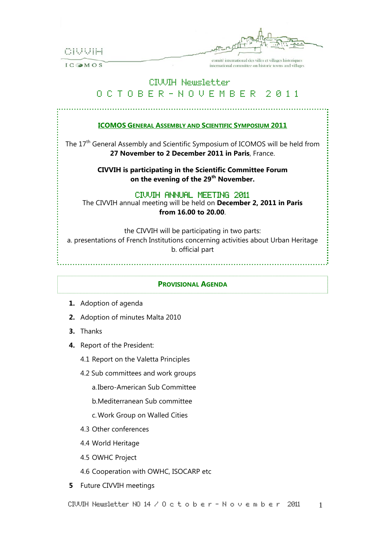CIUUIH

 $IC$  MOS

comité international des villes et villages historiques international committee on historic towns and villages

# CIVIIH Newsletter

# O C T O B E R – N O V E M B E R 2 0 1 1

## **ICOMOS GENERAL ASSEMBLY AND SCIENTIFIC SYMPOSIUM 2011**

The 17<sup>th</sup> General Assembly and Scientific Symposium of ICOMOS will be held from **27 November to 2 December 2011 in Paris**, France.

> **CIVVIH is participating in the Scientific Committee Forum on the evening of the 29th November.**

## CIVVIH ANNUAL MEETING 2011

The CIVVIH annual meeting will be held on **December 2, 2011 in Paris from 16.00 to 20.00**.

the CIVVIH will be participating in two parts:

a. presentations of French Institutions concerning activities about Urban Heritage b. official part

#### **PROVISIONAL AGENDA**

- **1.** Adoption of agenda
- **2.** Adoption of minutes Malta 2010
- **3.** Thanks
- **4.** Report of the President:
	- 4.1 Report on the Valetta Principles
	- 4.2 Sub committees and work groups
		- a.Ibero-American Sub Committee
		- b.Mediterranean Sub committee

c.Work Group on Walled Cities

- 4.3 Other conferences
- 4.4 World Heritage
- 4.5 OWHC Project
- 4.6 Cooperation with OWHC, ISOCARP etc
- **5** Future CIVVIH meetings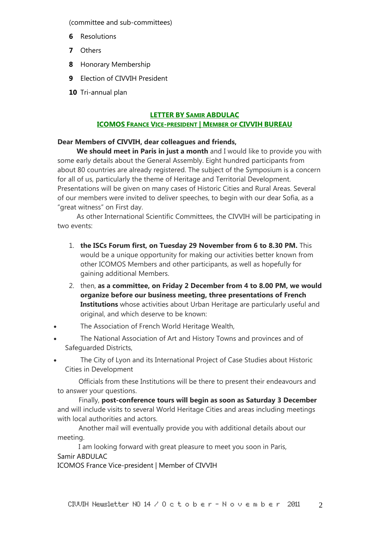(committee and sub-committees)

- **6** Resolutions
- **7** Others
- **8** Honorary Membership
- **9** Election of CIVVIH President
- **10** Tri-annual plan

## **LETTER BY SAMIR ABDULAC**

## **ICOMOS FRANCE VICE-PRESIDENT | MEMBER OF CIVVIH BUREAU**

## **Dear Members of CIVVIH, dear colleagues and friends,**

 **We should meet in Paris in just a month** and I would like to provide you with some early details about the General Assembly. Eight hundred participants from about 80 countries are already registered. The subject of the Symposium is a concern for all of us, particularly the theme of Heritage and Territorial Development. Presentations will be given on many cases of Historic Cities and Rural Areas. Several of our members were invited to deliver speeches, to begin with our dear Sofia, as a "great witness" on First day.

 As other International Scientific Committees, the CIVVIH will be participating in two events:

- 1. **the ISCs Forum first, on Tuesday 29 November from 6 to 8.30 PM.** This would be a unique opportunity for making our activities better known from other ICOMOS Members and other participants, as well as hopefully for gaining additional Members.
- 2. then, **as a committee, on Friday 2 December from 4 to 8.00 PM, we would organize before our business meeting, three presentations of French Institutions** whose activities about Urban Heritage are particularly useful and original, and which deserve to be known:
- The Association of French World Heritage Wealth,
- The National Association of Art and History Towns and provinces and of Safeguarded Districts,
- The City of Lyon and its International Project of Case Studies about Historic Cities in Development

 Officials from these Institutions will be there to present their endeavours and to answer your questions.

 Finally, **post-conference tours will begin as soon as Saturday 3 December**  and will include visits to several World Heritage Cities and areas including meetings with local authorities and actors.

 Another mail will eventually provide you with additional details about our meeting.

 I am looking forward with great pleasure to meet you soon in Paris, Samir ABDULAC

ICOMOS France Vice-president | Member of CIVVIH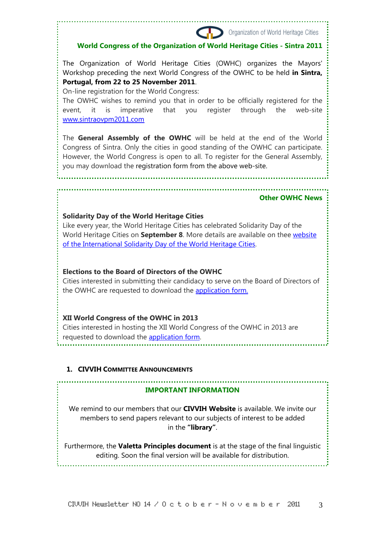# **World Congress of the Organization of World Heritage Cities - Sintra 2011**

The Organization of World Heritage Cities (OWHC) organizes the Mayors' Workshop preceding the next World Congress of the OWHC to be held **in Sintra, Portugal, from 22 to 25 November 2011**.

On-line registration for the World Congress:

The OWHC wishes to remind you that in order to be officially registered for the event, it is imperative that you register through the web-site www.sintraovpm2011.com

The **General Assembly of the OWHC** will be held at the end of the World Congress of Sintra. Only the cities in good standing of the OWHC can participate. However, the World Congress is open to all. To register for the General Assembly, you may download the registration form from the above web-site.

#### **Other OWHC News**

Organization of World Heritage Cities

## **Solidarity Day of the World Heritage Cities**

Like every year, the World Heritage Cities has celebrated Solidarity Day of the World Heritage Cities on **September 8**. More details are available on thee website of the International Solidarity Day of the World Heritage Cities.

### **Elections to the Board of Directors of the OWHC**

Cities interested in submitting their candidacy to serve on the Board of Directors of the OWHC are requested to download the application form.

## **XII World Congress of the OWHC in 2013**

Cities interested in hosting the XII World Congress of the OWHC in 2013 are requested to download the application form.

## **1. CIVVIH COMMITTEE ANNOUNCEMENTS**

#### **IMPORTANT INFORMATION**

We remind to our members that our **CIVVIH Website** is available. We invite our members to send papers relevant to our subjects of interest to be added in the **"library"**.

Furthermore, the **Valetta Principles document** is at the stage of the final linguistic editing. Soon the final version will be available for distribution.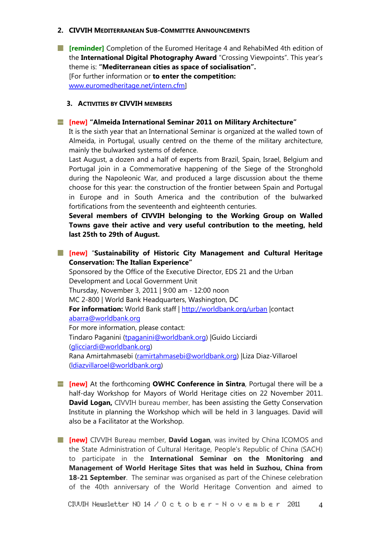#### **2. CIVVIH MEDITERRANEAN SUB-COMMITTEE ANNOUNCEMENTS**

**[reminder]** Completion of the Euromed Heritage 4 and RehabiMed 4th edition of the **International Digital Photography Award** "Crossing Viewpoints". This year's theme is: **"Mediterranean cities as space of socialisation".**  [For further information or **to enter the competition:**  www.euromedheritage.net/intern.cfm]

#### **3. ACTIVITIES BY CIVVIH MEMBERS**

#### **[new] "Almeida International Seminar 2011 on Military Architecture"**

It is the sixth year that an International Seminar is organized at the walled town of Almeida, in Portugal, usually centred on the theme of the military architecture, mainly the bulwarked systems of defence.

Last August, a dozen and a half of experts from Brazil, Spain, Israel, Belgium and Portugal join in a Commemorative happening of the Siege of the Stronghold during the Napoleonic War, and produced a large discussion about the theme choose for this year: the construction of the frontier between Spain and Portugal in Europe and in South America and the contribution of the bulwarked fortifications from the seventeenth and eighteenth centuries.

**Several members of CIVVIH belonging to the Working Group on Walled Towns gave their active and very useful contribution to the meeting, held last 25th to 29th of August.** 

**[new]** "**Sustainability of Historic City Management and Cultural Heritage Conservation: The Italian Experience"** 

Sponsored by the Office of the Executive Director, EDS 21 and the Urban Development and Local Government Unit Thursday, November 3, 2011 | 9:00 am - 12:00 noon MC 2-800 | World Bank Headquarters, Washington, DC **For information:** World Bank staff | http://worldbank.org/urban | contact abarra@worldbank.org For more information, please contact: Tindaro Paganini (tpaganini@worldbank.org) |Guido Licciardi (glicciardi@worldbank.org) Rana Amirtahmasebi (ramirtahmasebi@worldbank.org) |Liza Diaz-Villaroel (ldiazvillaroel@worldbank.org)

- **[new]** At the forthcoming **OWHC Conference in Sintra**, Portugal there will be a half-day Workshop for Mayors of World Heritage cities on 22 November 2011. **David Logan,** CIVVIH bureau member, has been assisting the Getty Conservation Institute in planning the Workshop which will be held in 3 languages. David will also be a Facilitator at the Workshop.
- **[new]** CIVVIH Bureau member, **David Logan**, was invited by China ICOMOS and the State Administration of Cultural Heritage, People's Republic of China (SACH) to participate in the **International Seminar on the Monitoring and Management of World Heritage Sites that was held in Suzhou, China from 18-21 September**. The seminar was organised as part of the Chinese celebration of the 40th anniversary of the World Heritage Convention and aimed to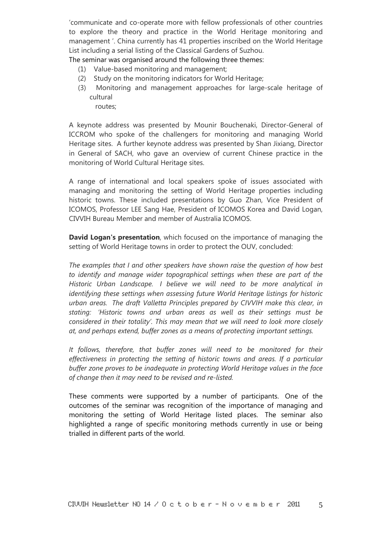'communicate and co-operate more with fellow professionals of other countries to explore the theory and practice in the World Heritage monitoring and management '. China currently has 41 properties inscribed on the World Heritage List including a serial listing of the Classical Gardens of Suzhou.

The seminar was organised around the following three themes:

- (1) Value-based monitoring and management;
- (2) Study on the monitoring indicators for World Heritage;
- (3) Monitoring and management approaches for large-scale heritage of cultural

routes;

A keynote address was presented by Mounir Bouchenaki, Director-General of ICCROM who spoke of the challengers for monitoring and managing World Heritage sites. A further keynote address was presented by Shan Jixiang, Director in General of SACH, who gave an overview of current Chinese practice in the monitoring of World Cultural Heritage sites.

A range of international and local speakers spoke of issues associated with managing and monitoring the setting of World Heritage properties including historic towns. These included presentations by Guo Zhan, Vice President of ICOMOS, Professor LEE Sang Hae, President of ICOMOS Korea and David Logan, CIVVIH Bureau Member and member of Australia ICOMOS.

**David Logan's presentation**, which focused on the importance of managing the setting of World Heritage towns in order to protect the OUV, concluded:

*The examples that I and other speakers have shown raise the question of how best to identify and manage wider topographical settings when these are part of the Historic Urban Landscape. I believe we will need to be more analytical in identifying these settings when assessing future World Heritage listings for historic urban areas. The draft Valletta Principles prepared by CIVVIH make this clear, in stating: 'Historic towns and urban areas as well as their settings must be considered in their totality'. This may mean that we will need to look more closely at, and perhaps extend, buffer zones as a means of protecting important settings.*

*It follows, therefore, that buffer zones will need to be monitored for their effectiveness in protecting the setting of historic towns and areas. If a particular buffer zone proves to be inadequate in protecting World Heritage values in the face of change then it may need to be revised and re-listed.*

These comments were supported by a number of participants. One of the outcomes of the seminar was recognition of the importance of managing and monitoring the setting of World Heritage listed places. The seminar also highlighted a range of specific monitoring methods currently in use or being trialled in different parts of the world.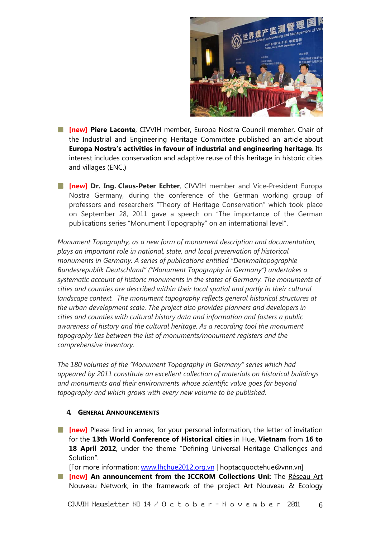

- **[new] Piere Laconte**, CIVVIH member, Europa Nostra Council member, Chair of the Industrial and Engineering Heritage Committee published an article about **Europa Nostra's activities in favour of industrial and engineering heritage**. Its interest includes conservation and adaptive reuse of this heritage in historic cities and villages (ENC.)
- **[new] Dr. Ing. Claus-Peter Echter**, CIVVIH member and Vice-President Europa Nostra Germany, during the conference of the German working group of professors and researchers "Theory of Heritage Conservation" which took place on September 28, 2011 gave a speech on "The importance of the German publications series "Monument Topography" on an international level".

*Monument Topography, as a new form of monument description and documentation, plays an important role in national, state, and local preservation of historical monuments in Germany. A series of publications entitled "Denkmaltopographie Bundesrepublik Deutschland" ("Monument Topography in Germany") undertakes a systematic account of historic monuments in the states of Germany. The monuments of cities and counties are described within their local spatial and partly in their cultural landscape context. The monument topography reflects general historical structures at the urban development scale. The project also provides planners and developers in cities and counties with cultural history data and information and fosters a public awareness of history and the cultural heritage. As a recording tool the monument topography lies between the list of monuments/monument registers and the comprehensive inventory.* 

*The 180 volumes of the "Monument Topography in Germany" series which had appeared by 2011 constitute an excellent collection of materials on historical buildings and monuments and their environments whose scientific value goes far beyond topography and which grows with every new volume to be published.* 

#### **4. GENERAL ANNOUNCEMENTS**

**[new]** Please find in annex, for your personal information, the letter of invitation for the **13th World Conference of Historical cities** in Hue, **Vietnam** from **16 to 18 April 2012**, under the theme "Defining Universal Heritage Challenges and Solution".

[For more information: www.lhchue2012.org.vn | hoptacquoctehue@vnn.vn]

**FF** [new] An announcement from the ICCROM Collections Uni: The Réseau Art Nouveau Network, in the framework of the project Art Nouveau & Ecology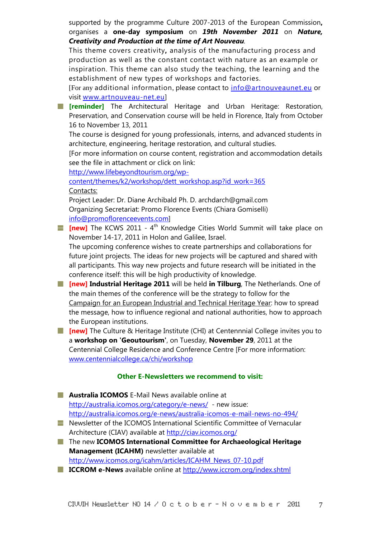supported by the programme Culture 2007-2013 of the European Commission**,** organises a **one-day symposium** on *19th November 2011* on *Nature, Creativity and Production at the time of Art Nouveau.*

This theme covers creativity**,** analysis of the manufacturing process and production as well as the constant contact with nature as an example or inspiration. This theme can also study the teaching, the learning and the establishment of new types of workshops and factories.

[For any additional information, please contact to info@artnouveaunet.eu or visit www.artnouveau-net.eu]

**[Fig. 2]** [reminder] The Architectural Heritage and Urban Heritage: Restoration, Preservation, and Conservation course will be held in Florence, Italy from October 16 to November 13, 2011

The course is designed for young professionals, interns, and advanced students in architecture, engineering, heritage restoration, and cultural studies.

[For more information on course content, registration and accommodation details see the file in attachment or click on link:

http://www.lifebeyondtourism.org/wp-

content/themes/k2/workshop/dett\_workshop.asp?id\_work=365 Contacts:

Project Leader: Dr. Diane Archibald Ph. D. archdarch@gmail.com Organizing Secretariat: Promo Florence Events (Chiara Gomiselli) info@promoflorenceevents.com]

**[inew]** The KCWS 2011 - 4<sup>th</sup> Knowledge Cities World Summit will take place on November 14-17, 2011 in Holon and Galilee, Israel.

The upcoming conference wishes to create partnerships and collaborations for future joint projects. The ideas for new projects will be captured and shared with all participants. This way new projects and future research will be initiated in the conference itself: this will be high productivity of knowledge.

- **[new] Industrial Heritage 2011** will be held **in Tilburg**, The Netherlands. One of the main themes of the conference will be the strategy to follow for the Campaign for an European Industrial and Technical Heritage Year: how to spread the message, how to influence regional and national authorities, how to approach the European institutions.
- **[new]** The Culture & Heritage Institute (CHI) at Centennnial College invites you to a **workshop on 'Geoutourism'**, on Tuesday, **November 29**, 2011 at the Centennial College Residence and Conference Centre [For more information: www.centennialcollege.ca/chi/workshop

## **Other E-Newsletters we recommend to visit:**

**H** Australia ICOMOS E-Mail News available online at http://australia.icomos.org/category/e-news/ - new issue: http://australia.icomos.org/e-news/australia-icomos-e-mail-news-no-494/ **Newsletter of the ICOMOS International Scientific Committee of Vernacular** 

- Architecture (CIAV) available at http://ciav.icomos.org/
- The new **ICOMOS International Committee for Archaeological Heritage Management (ICAHM)** newsletter available at http://www.icomos.org/icahm/articles/ICAHM\_News\_07-10.pdf
- **ICCROM e-News** available online at http://www.iccrom.org/index.shtml